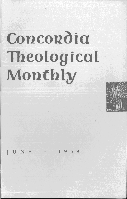# Concordia **Theological Monthly**



JUNE • 1959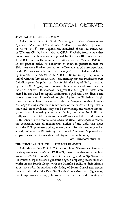## SOME EARLY PHILISTINE HISTORY

Under this heading Dr. G. A. Wainwright in *Vetus Testamentum* (January 1959) supplies additional evidence to his theory, presented in  $VT$  vi (1956), that Caphtor, the homeland of the Philistines, was in Western Cilicia, known also as Cilicia Tracheia, from where they poured over the Levant to be repulsed by Rameses III about the year 1162 B. C. and finally to settle in Philistia on the coast of Palestine. In the present article he endeavors to show, in particular, that the Philistines were Illyrians, related to the Dardanians, who are mentioned in the Egyptian records, since they belonged to a confederacy defeated by Rameses II at Kadesh, c. 1285 B. C. Strange to say, they may be linked with the Trojans as Allies. Maintaining that the Philistines were Indo-Europeans, he points out that Achish, the king of Gath, is written by the LXX 'Ayyov's, and this name he connects with Anchises, the father of Aeneas. He, moreover, suggests that the "golden mice" were sacred in the Troad to Apollo Smintheus, a god who sent disease and whose name was of pre-Greek origin. Again, the Philistines fought three men in a chariot as sometimes did the Trojans. So also Goliath's challenge to single combat is reminiscent of the heroes at Troy. While these and other evidences may not be convincing, the writer's investigation is an interesting attempt at finding out who the Philistines really were. The Bible mentions them 286 times and their land 8 times. C. R. Conder in the *International Standard Bible Encyclopaedia* reaches the conclusion that all monumental notices of the Philistines agree with the O. T. statements which make them a Semitic people who had already migrated to Philistia by the time of Abraham. Supposed discrepancies are due to mistakes made by modern archaeologists.

JOHN THEODORE MUELLER

## THE HISTORICAL ELEMENT IN THE FOURTH GOSPEL

Under this heading Prof. F. C. Grant of Union Theological Seminary, in *Religion in Life* (Winter 1958--59), maintains that recent archeological discoveries do not discredit the dating and interpretation of the Fourth Gospel current a generation ago. Comparing recent standard works on the Fourth Gospel with the Qumrân Scrolls, he finds himself at variance with the modern early dating of John's Gospel and reaches the conclusion that "the Dead Sea Scrolls do not shed much light upon the Gospels-including John-or upon the life and teaching of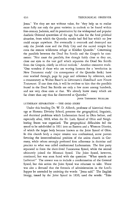Jesus." Yet they are not without value, for "they help us to realize more fully not only the great varieties in outlook to be found within first-century Judaism, and its penetration by the widespread and popular dualistic Oriental syncretism of the age, but also for the fatal political situation, from which the Qumrân monks had fled but which no Jew could escape anywhere. For eventually it overtook and destroyed not only the Jewish state and the Holy City and the sacred temple but even the remote wilderness refuge at Khirbet Qumrân." Concerning the parallels between the Dead Sea Scrolls and the Gospels he comments: "Nor must the parallels, few though fairly close as they are, close our eyes to the vast gulf which separates the Dead Sea Scrolls from the Gospels, chiefly in ethical outlook." Another comment reads: "One wonders if those who are waving banners for a 'revolution in New Testament study' (in consequence of the Qumrân finds) have ever worked through, page by page and reference by reference, such a commentary as Walter Bauer's in Lietzmann's *Handbuch zum Neuen Testament.* If one does this, it will be evident to him that the parallels found in the Dead Sea Scrolls are only a few more among hundreds, and not very close ones at that. We already knew many which are far closer than any thus far discovered at Qumrân."

JOHN THEODORE MUELLER

# LUTHERAN SEPARATION - THE OHIO STORY

Under this heading Dr. W. D. Allbeck, professor of historical theology at Hamma Divinity School, presents the geographical, linguistic, and doctrinal problems which Lutheranism faced in Ohio before, and especially after, 1818, when the Bv. Luth. Synod of Ohio and Neighboring States was organized. The geographical difficulties led the synod to be subdivided in 1831 into an Eastern and a Western District, of which the larger body became known as the Joint Synod of Ohio. In this church body a major tension was confessional, some pastors favoring the interconfessional position of the union church in Germany, while others strongly preferred firm adherence in doctrine and practice to what was called confessional Lutheranism. The first party separated to form the short-lived Tuscarawas Synod, while the second ultimately joined the Missouri Synod. The Joint Synod, however, continued, but was soon faced with the question: "What synods are Lutheran?" The answer was to include a condemnation of the General Synod, but this action the Joint Synod was reluctant to take. There was also a demand that the formula of administration in the Lord's Supper be amended by omitting the words: "Jesus said." The English liturgy, issued by the Joint Synod in 1830, used the words: "Take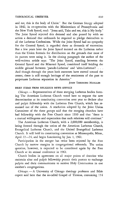and eat, this is the body of Christ." But the German liturgy adopted in 1842, in co-operation with the Ministerium of Pennsylvania and the New York Synod, read: "Jesus said, Take and eat, this is My body." The Joint Synod rejected this demand and also passed by with no action a demand that ordinands be required to pledge themselves to all the Lutheran Confessions. While the Joint Synod had no sympathy for the General Synod, *it* regarded these as demands of extremists. But a few years later the Joint Synod insisted on the Lutheran rather than the Union formula for distribution on the grounds that most of its pastors were using it. In the closing paragraph the author of the well-written article says: "The Joint Synod, standing between the General Synod and the Missouri Synod, considered itself holding the middle ground between 'pseudo-Lutheran' and 'ultra-Lutheran'! ... And though through the years both extremes have moved toward the center, there is still enough heritage of the sentiments of the past to perpetuate Lutheran separation in America."

JOHN THEODORE MUELLER

### BRIEF ITEMS FROM RELIGIOUS NEWS SERVICE

Chicago. - Representatives of three merging Lutheran bodies forming The American Lutheran Church voted here to request the new denomination at its constituting convention next year to declare altar and pulpit fellowship with the Lutheran Free Church, which has remained out of the union. A resolution adopted by the Joint Union Committee of the three groups said that the merging churches have had fellowship with the Free Church since 1930 and that "there is a mutual willingness and expectation that such relations will continue."

The American Lutheran Church, with a 2,000,000 membership, is being formed through the union of the American Lutheran Church, Evangelical Lutheran Church, and the United Evangelical Lutheran Church. It will hold its constituting convention at Minneapolis, Minn., April 22-24, and begin functioning by Jan. 1, 1961.

Participation in the merger has twice been rejected by the Free Church by narrow margins in congregational referenda. The union question, however, is expected to be considered again by the Free Church at its annual conference in 1961.

Church bodies in agreement on all major points of doctrine who maintain altar and pulpit fellowship permit their pastors to exchange pulpits and their communicants to receive Holy Communion in one another's congregations.

*Chicago.* - A University of Chicago theology professor and Bible expert said here that the so-called Gospel of Thomas, containing 114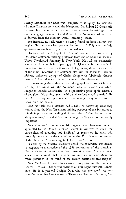sayings attributed to Christ, was "compiled in antiquity" by members of a non-Christian sect called the Naassenes. Dr. Robert M. Grant said he based his contention on the similarities between the writings of the Coptic-language manuscript and those of the Naassenes, whose name is derived from the Hebrew "Naas," meaning "snake."

For instance, he said, there's a saying found in both sources that begins: "In the days when you ate the dead. . .." This is an unlikely quotation to attribute to Jesus, he pointed out.

Discovery of the "Gospel of Thomas" was reported recently by Dr. Oscar Cullmann, visiting professor from the Sorbonne in Paris at Union Theological Seminary in New York. He said the manuscript was found in a tomb in upper Egypt in 1946 and is comparable in importance to the Dead Sea Scrolls and of great significance to students of the New Testament. Dr. Cullmann also said the document includes hitherto unknown sayings of Christ, along with "obviously Gnostic material." He did not attribute its source to the Naassenes.

In questioning the authenticity of the gospel as a "truly Christian writing," Dr. Grant said the Naassenes were a Gnostic sect which sought to include Christianity "in a speculative philosophic synthesis of religion, philosophy, ascetic ethics and various mystic rituals." He said Christianity was just one element among many others in the Gnosticism movement.

Dr. Grant said the Naassenes had a habit of borrowing what they wanted from the New Testament, mixing portions of the Scriptures to suit their purposes and adding their own ideas. "New documents are always exciting," he added, "but in the long run they are not necessarily important."

*New York.-A* committee of 10 clergymen and physicians has been appointed by the United Lutheran Church in America to study "the entire field of anointing and healing." A report on its study will probably be made by the committee at the 22d biennial convention of the church at Atlantic City, N. J., Oct. 13-20, 1960.

Selected by the church's executive board, the committee was named in response to a directive of the 1958 convention of the church at Dayton, Ohio. A resolution at that convention noted "there is widespread interest in the field of anointing and healing" and "there are many questions in the mind of the church relative to this subject."

*New York.* - The first Chinese-American pastor in The Lutheran Church - Missouri Synod was ordained at True Light Lutheran Church here. He is 27-year-old Dwight Ong, who was graduated last year from the denomination's Concordia Theological Seminary, St. Louis, Mo.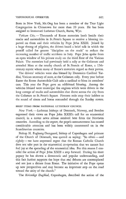Born in New York, Mr.Ong has been a member of the True Light Congregation in Chinatown for more than 20 years. He has been assigned to Immanuel Lutheran Church, Burns, Wyo.

Vatican City. - Thousands of Rome motorists knelt beside their trucks and automobiles in St. Peter's Square to receive a blessing imparted on them and their vehicles by Pope John XXIII. Joined by a huge throng of pilgrims, the drivers heard a brief talk in which the pontiff called for greater "discipline on the roads" to reduce the increasing number of traffic accidents in Italy. Pope John spoke from an open window of his private study on the third floor of the Vatican Palace. The motorists had previously held a rally at the Coliseum and attended Mass at the nearby church of St. Francis of Rome, a 15thcentury mystic whom many of Rome's motorists regard as their patron.

The drivers' vehicles were also blessed by Domenico Cardinal Tardini, Vatican secretary of state, at the Coliseum rally. Every year before Easter the Rome Automobile Club asks a cardinal to bless its members' cars. This year the Pope gave an additional blessing. Among the vehicles blessed were municipal fire engines which were driven in the long cortege of trucks and automobiles that drove across the city from the Coliseum to St. Peter's Square. Firemen rode atop their ladders as the sound of sirens and horns resounded through the Sunday streets.

### BRIEF ITEMS FROM NATIONAL LUTHERAN COUNCIL

*New York.* - Lutheran bishops of Denmark, Norway, and Sweden expressed their views on Pope John XXIII's call for an ecumenical council, in a recent news release received here from the Northern countries. According to the report, the pope's announcement has caused considerable attention and has been widely commented on in the Scandinavian countries.

Bishop H. Fuglsang-Damgaard, bishop of Copenhagen and primate of the Church of Denmark, was quoted as saying: "So often - and rightly-we have expressed regret that the Roman Catholic Church does not take part in the ecumenical co-operation that we cannot but feel joy at the spreading of the ecumenical idea. For this reason I consider the action of Pope John XXIII a step forward. During his short papacy he has shown a democratic and popular understanding, and this fact further supports the hope that real debates are contemplated and not just a dictate from Rome. The initiative of the Pope opens up new perspectives and may become an important step on the road toward the unity of the church."

The *Kristeligt Dagblad,* Copenhagen, described the action of the